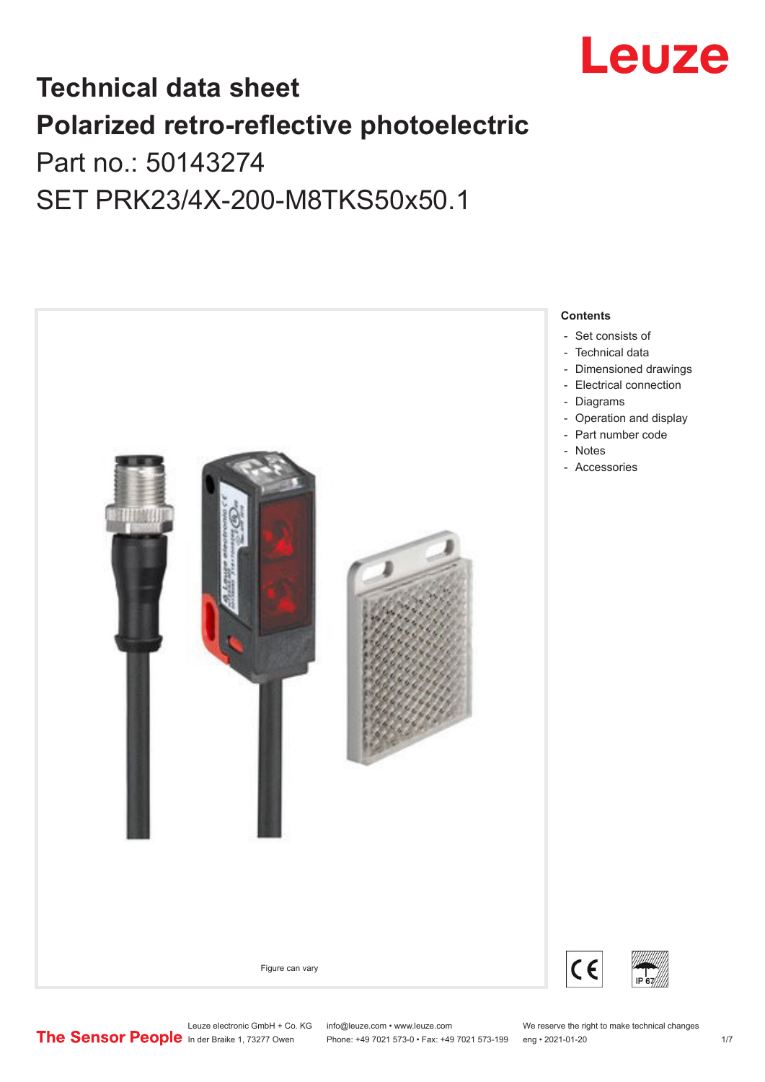

## **Technical data sheet Polarized retro-reflective photoelectric**  Part no.: 50143274

# SET PRK23/4X-200-M8TKS50x50.1



Leuze electronic GmbH + Co. KG info@leuze.com • www.leuze.com We reserve the right to make technical changes<br> **The Sensor People** In der Braike 1, 73277 Owen Phone: +49 7021 573-0 • Fax: +49 7021 573-199 eng • 2021-01-20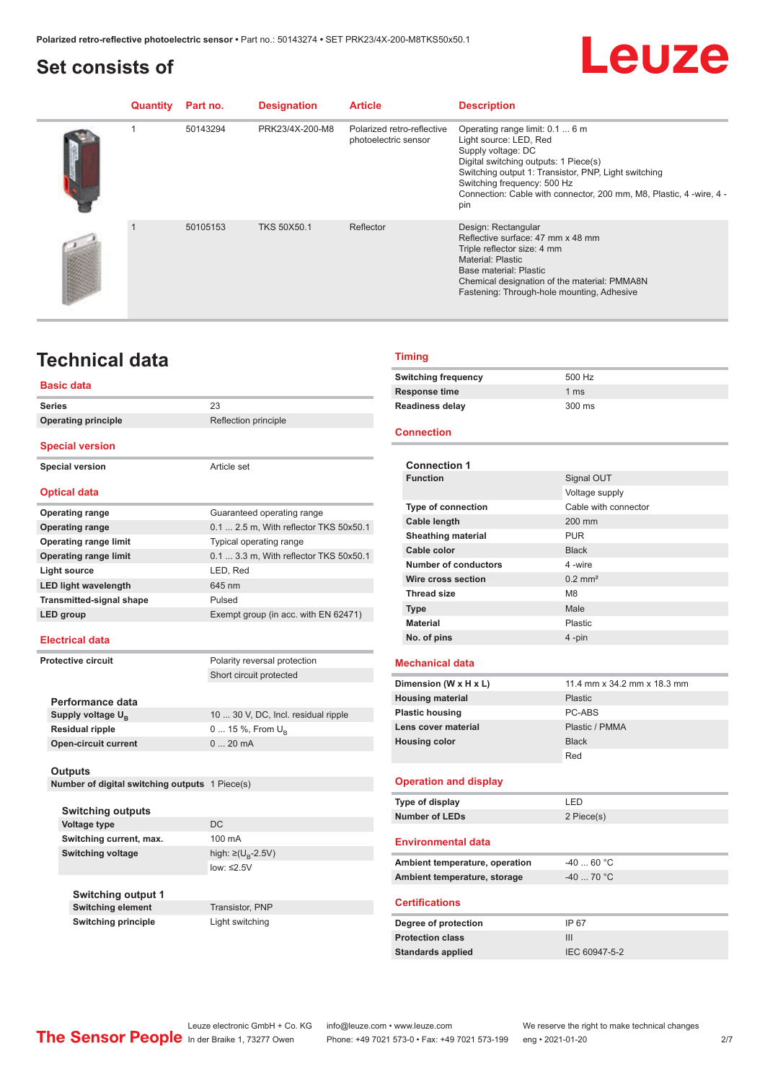#### <span id="page-1-0"></span>**Set consists of**



| Quantity | Part no. | <b>Designation</b> | <b>Article</b>                                     | <b>Description</b>                                                                                                                                                                                                                                                                            |
|----------|----------|--------------------|----------------------------------------------------|-----------------------------------------------------------------------------------------------------------------------------------------------------------------------------------------------------------------------------------------------------------------------------------------------|
|          | 50143294 | PRK23/4X-200-M8    | Polarized retro-reflective<br>photoelectric sensor | Operating range limit: 0.1  6 m<br>Light source: LED, Red<br>Supply voltage: DC<br>Digital switching outputs: 1 Piece(s)<br>Switching output 1: Transistor, PNP, Light switching<br>Switching frequency: 500 Hz<br>Connection: Cable with connector, 200 mm, M8, Plastic, 4 -wire, 4 -<br>pin |
|          | 50105153 | <b>TKS 50X50.1</b> | Reflector                                          | Design: Rectangular<br>Reflective surface: 47 mm x 48 mm<br>Triple reflector size: 4 mm<br><b>Material: Plastic</b><br>Base material: Plastic<br>Chemical designation of the material: PMMA8N<br>Fastening: Through-hole mounting, Adhesive                                                   |

### **Technical data**

#### **Basic data**

| <b>Series</b>                   | 23                                     |  |  |
|---------------------------------|----------------------------------------|--|--|
| <b>Operating principle</b>      | Reflection principle                   |  |  |
| <b>Special version</b>          |                                        |  |  |
| <b>Special version</b>          | Article set                            |  |  |
| <b>Optical data</b>             |                                        |  |  |
| <b>Operating range</b>          | Guaranteed operating range             |  |  |
| <b>Operating range</b>          | 0.1  2.5 m, With reflector TKS 50x50.1 |  |  |
| <b>Operating range limit</b>    | Typical operating range                |  |  |
| <b>Operating range limit</b>    | 0.1  3.3 m, With reflector TKS 50x50.1 |  |  |
| <b>Light source</b>             | LED, Red                               |  |  |
| <b>LED light wavelength</b>     | 645 nm                                 |  |  |
| <b>Transmitted-signal shape</b> | Pulsed                                 |  |  |
| <b>LED</b> group                | Exempt group (in acc. with EN 62471)   |  |  |
| <b>Electrical data</b>          |                                        |  |  |
| <b>Protective circuit</b>       | Polarity reversal protection           |  |  |
|                                 | Short circuit protected                |  |  |
| Performance data                |                                        |  |  |
| Supply voltage $U_{B}$          | 10  30 V, DC, Incl. residual ripple    |  |  |
| <b>Residual ripple</b>          | 0  15 %, From $U_{\rm B}$              |  |  |
| <b>Open-circuit current</b>     | 020mA                                  |  |  |
|                                 |                                        |  |  |

#### **Outputs**

**Number of digital switching outputs** 1 Piece(s)

**Switching outputs Voltage type** DC **Switching current, max.** 100 mA Switching voltage

**Switching output 1 Switching element** Transistor, PNP **Switching principle** Light switching

high:  $\geq (U_B - 2.5V)$ low: ≤2.5V

#### **Timing**

| <b>Switching frequency</b> | 500 Hz         |
|----------------------------|----------------|
| Response time              | $1 \text{ ms}$ |
| <b>Readiness delay</b>     | 300 ms         |

#### **Connection**

|                      | <b>Connection 1</b>            |                             |  |
|----------------------|--------------------------------|-----------------------------|--|
|                      | <b>Function</b>                | Signal OUT                  |  |
|                      |                                | Voltage supply              |  |
|                      | <b>Type of connection</b>      | Cable with connector        |  |
|                      | <b>Cable length</b>            | 200 mm                      |  |
|                      | Sheathing material             | <b>PUR</b>                  |  |
|                      | Cable color                    | <b>Black</b>                |  |
|                      | Number of conductors           | 4-wire                      |  |
|                      | Wire cross section             | $0.2$ mm <sup>2</sup>       |  |
|                      | <b>Thread size</b>             | M <sub>8</sub>              |  |
|                      | <b>Type</b>                    | Male                        |  |
|                      | <b>Material</b>                | Plastic                     |  |
|                      | No. of pins                    | $4 - pin$                   |  |
|                      |                                |                             |  |
|                      | <b>Mechanical data</b>         |                             |  |
|                      | Dimension (W x H x L)          | 11.4 mm x 34.2 mm x 18.3 mm |  |
|                      | <b>Housing material</b>        | Plastic                     |  |
|                      | <b>Plastic housing</b>         | PC-ARS                      |  |
|                      | Lens cover material            | Plastic / PMMA              |  |
| <b>Housing color</b> |                                | <b>Black</b>                |  |
|                      |                                | Red                         |  |
|                      | <b>Operation and display</b>   |                             |  |
|                      |                                |                             |  |
|                      | Type of display                | LED                         |  |
|                      |                                |                             |  |
|                      | <b>Number of LEDs</b>          | 2 Piece(s)                  |  |
|                      |                                |                             |  |
|                      | <b>Environmental data</b>      |                             |  |
|                      | Ambient temperature, operation | $-40.60$ °C                 |  |
|                      | Ambient temperature, storage   | $-40$ 70 °C                 |  |
|                      | <b>Certifications</b>          |                             |  |
|                      | Degree of protection           | IP 67                       |  |
|                      | <b>Protection class</b>        | Ш                           |  |
|                      | <b>Standards applied</b>       | IEC 60947-5-2               |  |

Leuze electronic GmbH + Co. KG info@leuze.com • www.leuze.com We reserve the right to make technical changes<br> **The Sensor People** In der Braike 1, 73277 Owen Phone: +49 7021 573-0 • Fax: +49 7021 573-199 eng • 2021-01-20

Phone: +49 7021 573-0 • Fax: +49 7021 573-199 eng • 2021-01-20 27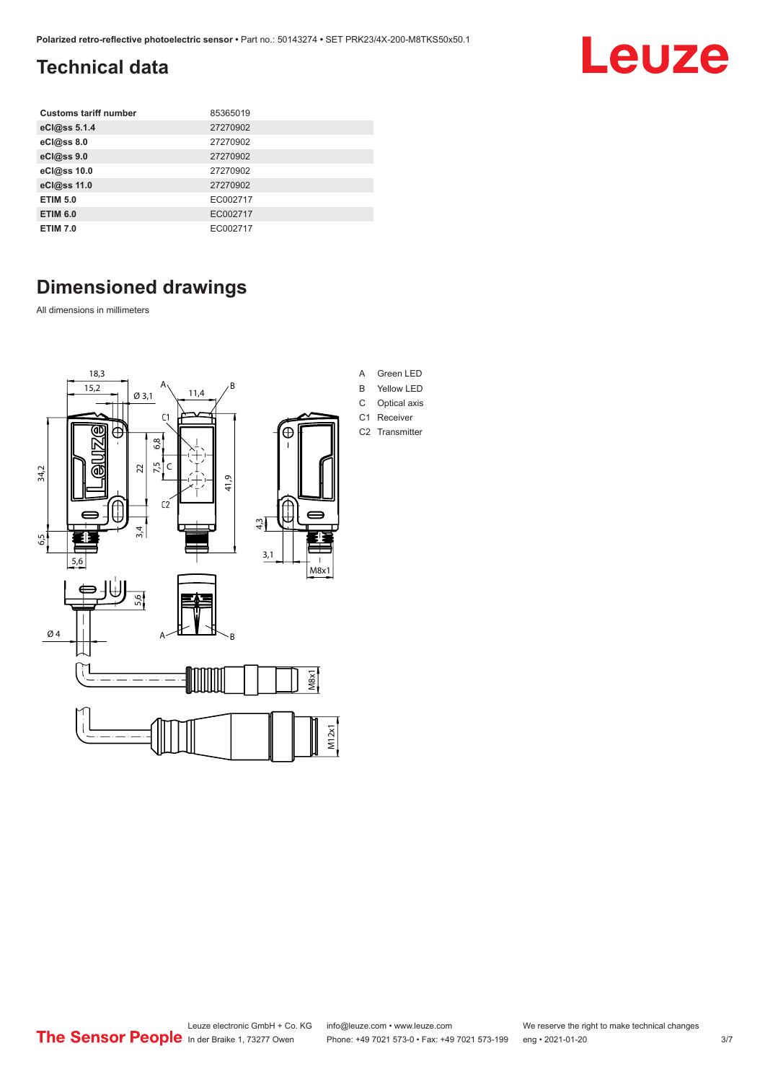### <span id="page-2-0"></span>**Technical data**

| <b>Customs tariff number</b> | 85365019 |
|------------------------------|----------|
| eCl@ss 5.1.4                 | 27270902 |
| eCl@ss 8.0                   | 27270902 |
| eCl@ss 9.0                   | 27270902 |
| eCl@ss 10.0                  | 27270902 |
| eCl@ss 11.0                  | 27270902 |
| <b>ETIM 5.0</b>              | EC002717 |
| <b>ETIM 6.0</b>              | EC002717 |
| <b>ETIM 7.0</b>              | EC002717 |

## **Dimensioned drawings**

All dimensions in millimeters



A Green LED B Yellow LED C Optical axis C1 Receiver

C2 Transmitter

Leuze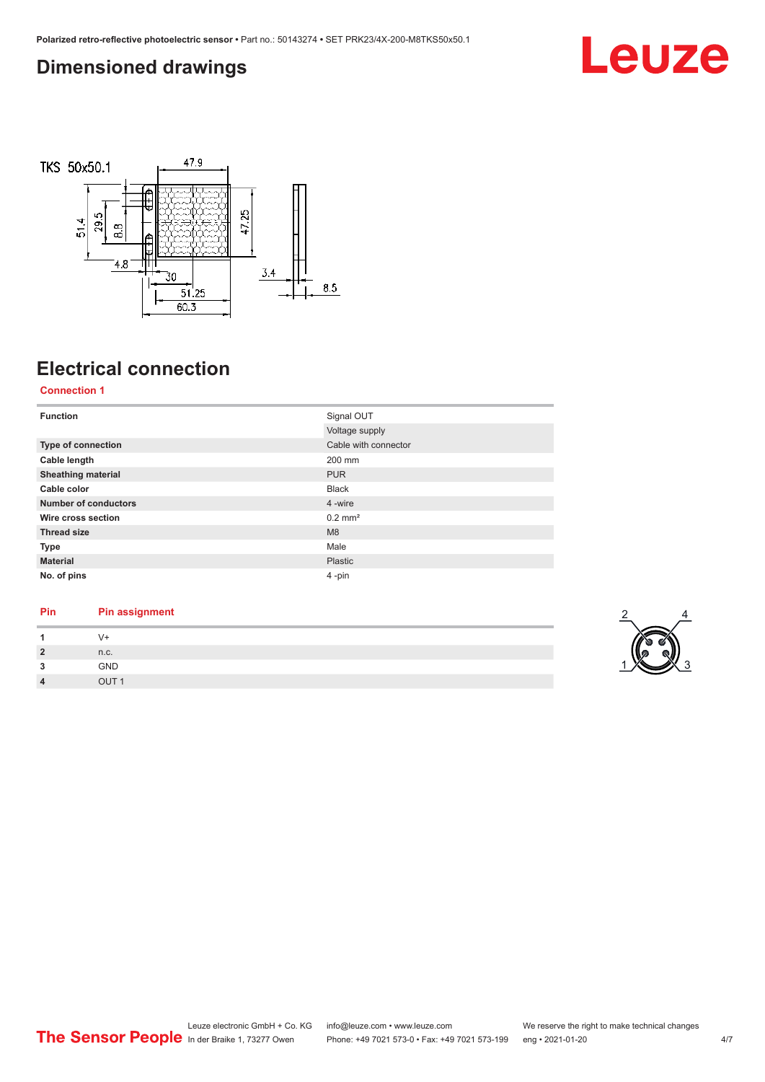#### <span id="page-3-0"></span>**Dimensioned drawings**





## **Electrical connection**

**Connection 1**

| <b>Function</b>             | Signal OUT            |
|-----------------------------|-----------------------|
|                             | Voltage supply        |
| <b>Type of connection</b>   | Cable with connector  |
| Cable length                | 200 mm                |
| <b>Sheathing material</b>   | <b>PUR</b>            |
| Cable color                 | <b>Black</b>          |
| <b>Number of conductors</b> | 4 -wire               |
| Wire cross section          | $0.2$ mm <sup>2</sup> |
| <b>Thread size</b>          | M8                    |
| Type                        | Male                  |
| <b>Material</b>             | Plastic               |
| No. of pins                 | 4-pin                 |

#### **Pin Pin assignment**

|                        | 7+         |
|------------------------|------------|
| $\mathbf{\Omega}$<br>- | n.c.       |
| $\bullet$              | GND        |
|                        | <b>TUC</b> |

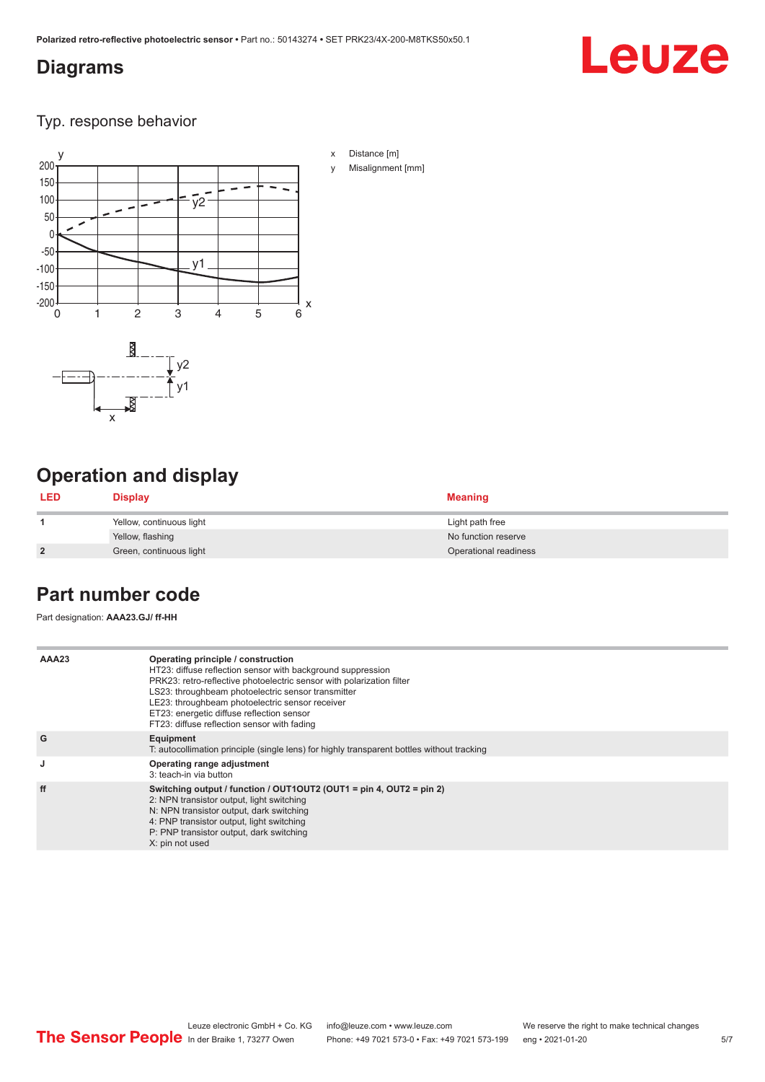#### <span id="page-4-0"></span>**Diagrams**

# Leuze

Typ. response behavior



## **Operation and display**

| <b>LED</b>     | <b>Display</b>           | <b>Meaning</b>        |
|----------------|--------------------------|-----------------------|
|                | Yellow, continuous light | Light path free       |
|                | Yellow, flashing         | No function reserve   |
| $\overline{2}$ | Green, continuous light  | Operational readiness |

#### **Part number code**

Part designation: **AAA23.GJ/ ff-HH**

| AAA23 | Operating principle / construction<br>HT23: diffuse reflection sensor with background suppression<br>PRK23: retro-reflective photoelectric sensor with polarization filter<br>LS23: throughbeam photoelectric sensor transmitter<br>LE23: throughbeam photoelectric sensor receiver<br>ET23: energetic diffuse reflection sensor<br>FT23: diffuse reflection sensor with fading |
|-------|---------------------------------------------------------------------------------------------------------------------------------------------------------------------------------------------------------------------------------------------------------------------------------------------------------------------------------------------------------------------------------|
| G     | Equipment<br>T: autocollimation principle (single lens) for highly transparent bottles without tracking                                                                                                                                                                                                                                                                         |
| J     | Operating range adjustment<br>3: teach-in via button                                                                                                                                                                                                                                                                                                                            |
| ff    | Switching output / function / OUT1OUT2 (OUT1 = pin 4, OUT2 = pin 2)<br>2: NPN transistor output, light switching<br>N: NPN transistor output, dark switching<br>4: PNP transistor output, light switching<br>P: PNP transistor output, dark switching<br>X: pin not used                                                                                                        |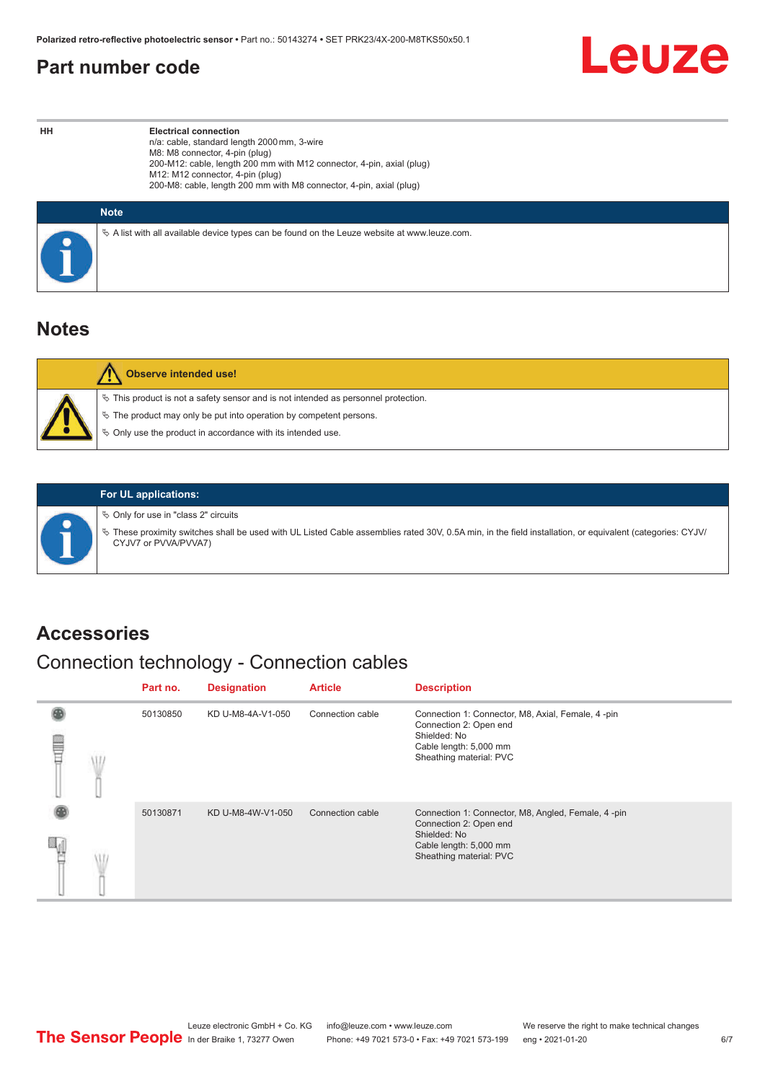#### <span id="page-5-0"></span>**Part number code**



**HH Electrical connection** n/a: cable, standard length 2000 mm, 3-wire M8: M8 connector, 4-pin (plug) 200-M12: cable, length 200 mm with M12 connector, 4-pin, axial (plug) M12: M12 connector, 4-pin (plug) 200-M8: cable, length 200 mm with M8 connector, 4-pin, axial (plug)

| <b>Note</b>                                                                                  |
|----------------------------------------------------------------------------------------------|
| ∜ A list with all available device types can be found on the Leuze website at www.leuze.com. |

#### **Notes**

| <b>Observe intended use!</b>                                                                                                                                                                                                     |
|----------------------------------------------------------------------------------------------------------------------------------------------------------------------------------------------------------------------------------|
| $\%$ This product is not a safety sensor and is not intended as personnel protection.<br>$\%$ The product may only be put into operation by competent persons.<br>$\%$ Only use the product in accordance with its intended use. |
|                                                                                                                                                                                                                                  |



#### **For UL applications:**

 $\%$  Only for use in "class 2" circuits

ª These proximity switches shall be used with UL Listed Cable assemblies rated 30V, 0.5A min, in the field installation, or equivalent (categories: CYJV/ CYJV7 or PVVA/PVVA7)

#### **Accessories**

## Connection technology - Connection cables

|   | Part no. | <b>Designation</b> | <b>Article</b>   | <b>Description</b>                                                                                                                                |
|---|----------|--------------------|------------------|---------------------------------------------------------------------------------------------------------------------------------------------------|
| ⋚ | 50130850 | KD U-M8-4A-V1-050  | Connection cable | Connection 1: Connector, M8, Axial, Female, 4 -pin<br>Connection 2: Open end<br>Shielded: No<br>Cable length: 5,000 mm<br>Sheathing material: PVC |
|   | 50130871 | KD U-M8-4W-V1-050  | Connection cable | Connection 1: Connector, M8, Angled, Female, 4-pin<br>Connection 2: Open end<br>Shielded: No<br>Cable length: 5,000 mm<br>Sheathing material: PVC |